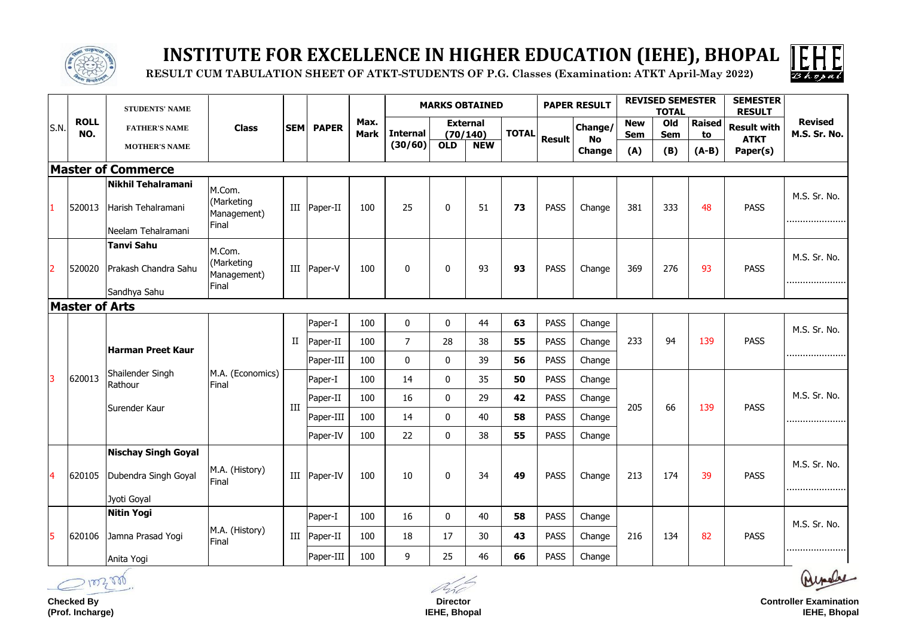|                | <b>ROLL</b><br>NO.    | <b>STUDENTS' NAME</b>                                             |                                              |             |                | Max.<br><b>Mark</b> | <b>MARKS OBTAINED</b>      |              |                                           | <b>PAPER RESULT</b> |               | <b>REVISED SEMESTER</b><br><b>TOTAL</b> |                                 | <b>SEMESTER</b><br><b>RESULT</b> |                                |                                               |                                |
|----------------|-----------------------|-------------------------------------------------------------------|----------------------------------------------|-------------|----------------|---------------------|----------------------------|--------------|-------------------------------------------|---------------------|---------------|-----------------------------------------|---------------------------------|----------------------------------|--------------------------------|-----------------------------------------------|--------------------------------|
| S.N.           |                       | <b>FATHER'S NAME</b><br><b>MOTHER'S NAME</b>                      | <b>Class</b>                                 | <b>SEM</b>  | <b>PAPER</b>   |                     | <b>Internal</b><br>(30/60) | <b>OLD</b>   | <b>External</b><br>(70/140)<br><b>NEW</b> | <b>TOTAL</b>        | <b>Result</b> | Change/<br><b>No</b><br><b>Change</b>   | <b>New</b><br><b>Sem</b><br>(A) | Old<br><b>Sem</b><br>(B)         | <b>Raised</b><br>to<br>$(A-B)$ | <b>Result with</b><br><b>ATKT</b><br>Paper(s) | <b>Revised</b><br>M.S. Sr. No. |
|                |                       | <b>Master of Commerce</b>                                         |                                              |             |                |                     |                            |              |                                           |                     |               |                                         |                                 |                                  |                                |                                               |                                |
|                | 520013                | Nikhil Tehalramani<br>Harish Tehalramani<br>Neelam Tehalramani    | M.Com.<br>(Marketing<br>Management)<br>Final | III         | Paper-II       | 100                 | 25                         | $\mathbf 0$  | 51                                        | 73                  | <b>PASS</b>   | Change                                  | 381                             | 333                              | 48                             | <b>PASS</b>                                   | M.S. Sr. No.<br>               |
| $\overline{2}$ | 520020                | <b>Tanvi Sahu</b><br>Prakash Chandra Sahu<br>Sandhya Sahu         | M.Com.<br>(Marketing<br>Management)<br>Final | III         | Paper-V        | 100                 | $\bf{0}$                   | $\mathbf 0$  | 93                                        | 93                  | <b>PASS</b>   | Change                                  | 369                             | 276                              | 93                             | <b>PASS</b>                                   | M.S. Sr. No.<br>               |
|                | <b>Master of Arts</b> |                                                                   |                                              |             |                |                     |                            |              |                                           |                     |               |                                         |                                 |                                  |                                |                                               |                                |
|                |                       |                                                                   | M.A. (Economics)<br>Final                    | $_{\rm II}$ | Paper-I        | 100                 | $\mathbf 0$                | $\mathbf 0$  | 44                                        | 63                  | <b>PASS</b>   | Change                                  |                                 |                                  |                                | <b>PASS</b>                                   | M.S. Sr. No.                   |
|                |                       |                                                                   |                                              |             | Paper-II       | 100                 | 7                          | 28           | 38                                        | 55                  | <b>PASS</b>   | Change                                  | 233                             | 94                               | 139                            |                                               |                                |
|                |                       | <b>Harman Preet Kaur</b>                                          |                                              |             | Paper-III      | 100                 | $\mathbf 0$                | $\mathbf 0$  | 39                                        | 56                  | <b>PASS</b>   | Change                                  |                                 |                                  |                                |                                               |                                |
| 3              | 620013                | Shailender Singh<br>Rathour                                       |                                              | III         | Paper-I        | 100                 | 14                         | $\mathbf 0$  | 35                                        | 50                  | <b>PASS</b>   | Change                                  | 66<br>205                       |                                  | 139                            | <b>PASS</b>                                   |                                |
|                |                       |                                                                   |                                              |             | Paper-II       | 100                 | 16                         | $\mathbf 0$  | 29                                        | 42                  | <b>PASS</b>   | Change                                  |                                 |                                  |                                |                                               | M.S. Sr. No.                   |
|                |                       | Surender Kaur                                                     |                                              |             | Paper-III      | 100                 | 14                         | $\mathbf{0}$ | 40                                        | 58                  | <b>PASS</b>   | Change                                  |                                 |                                  |                                |                                               |                                |
|                |                       |                                                                   |                                              |             | Paper-IV       | 100                 | 22                         | $\mathbf 0$  | 38                                        | 55                  | <b>PASS</b>   | Change                                  |                                 |                                  |                                |                                               |                                |
| 4              | 620105                | <b>Nischay Singh Goyal</b><br>Dubendra Singh Goyal<br>Jyoti Goyal | M.A. (History)<br>Final                      |             | III   Paper-IV | 100                 | 10                         | $\bf{0}$     | 34                                        | 49                  | <b>PASS</b>   | Change                                  | 213                             | 174                              | 39                             | <b>PASS</b>                                   | M.S. Sr. No.                   |
|                | 620106                | Nitin Yogi                                                        | M.A. (History)<br>Final                      |             | Paper-I        | 100                 | 16                         | $\mathbf 0$  | 40                                        | 58                  | <b>PASS</b>   | Change                                  | 216<br>134                      |                                  |                                |                                               |                                |
| 5              |                       | Jamna Prasad Yogi                                                 |                                              | $\rm III$   | Paper-II       | 100                 | 18                         | 17           | 30                                        | 43                  | <b>PASS</b>   | Change                                  |                                 |                                  | 82                             | <b>PASS</b>                                   | M.S. Sr. No.                   |
|                |                       | Anita Yogi                                                        |                                              |             | Paper-III      | 100                 | 9                          | 25           | 46                                        | 66                  | <b>PASS</b>   | Change                                  |                                 |                                  |                                |                                               |                                |



# **INSTITUTE FOR EXCELLENCE IN HIGHER EDUCATION (IEHE), BHOPAL**

 **RESULT CUM TABULATION SHEET OF ATKT-STUDENTS OF P.G. Classes (Examination: ATKT April-May 2022)**

**Checked By (Prof. Incharge)**

**Director IEHE, Bhopal**



**Controller Examination IEHE, Bhopal**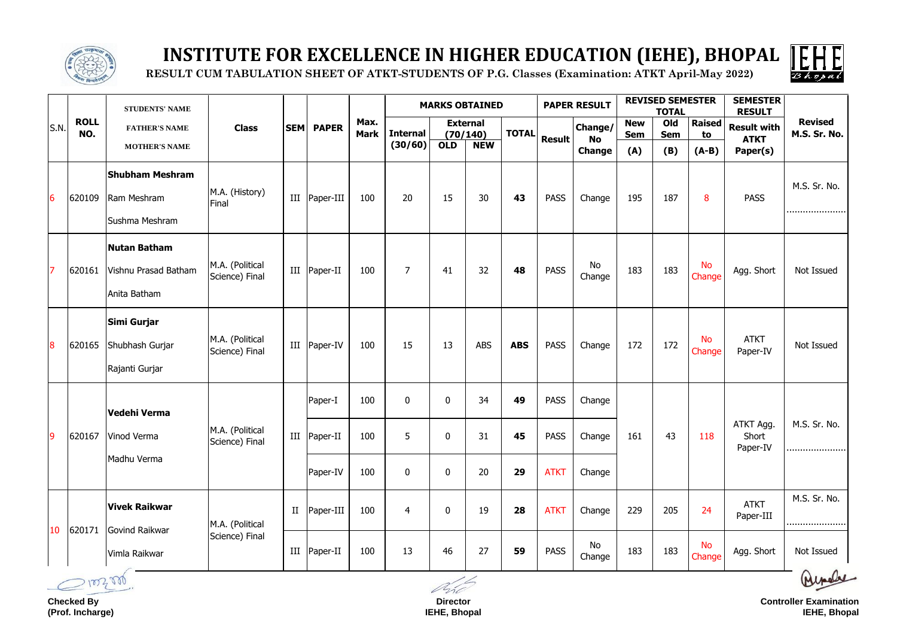

### **INSTITUTE FOR EXCELLENCE IN HIGHER EDUCATION (IEHE), BHOPAL**

 **RESULT CUM TABULATION SHEET OF ATKT-STUDENTS OF P.G. Classes (Examination: ATKT April-May 2022)**

|      | <b>ROLL</b><br>NO. | <b>STUDENTS' NAME</b><br><b>FATHER'S NAME</b>               |                                   |            |                |                     |                  |                  | <b>MARKS OBTAINED</b>       |              | <b>PAPER RESULT</b> |                            | <b>REVISED SEMESTER</b><br><b>TOTAL</b> |                   |                     | <b>SEMESTER</b><br><b>RESULT</b>              |                                |
|------|--------------------|-------------------------------------------------------------|-----------------------------------|------------|----------------|---------------------|------------------|------------------|-----------------------------|--------------|---------------------|----------------------------|-----------------------------------------|-------------------|---------------------|-----------------------------------------------|--------------------------------|
| S.N. |                    |                                                             | <b>Class</b>                      | <b>SEM</b> | <b>PAPER</b>   | Max.<br><b>Mark</b> | <b>Internal</b>  |                  | <b>External</b><br>(70/140) | <b>TOTAL</b> | <b>Result</b>       | <b>Change/</b>             | <b>New</b><br><b>Sem</b>                | Old<br><b>Sem</b> | <b>Raised</b><br>to | <b>Result with</b><br><b>ATKT</b><br>Paper(s) | <b>Revised</b><br>M.S. Sr. No. |
|      |                    | <b>MOTHER'S NAME</b>                                        |                                   |            |                |                     | (30/60)          | <b>OLD</b>       | <b>NEW</b>                  |              |                     | <b>No</b><br><b>Change</b> | (A)                                     | (B)               | $(A-B)$             |                                               |                                |
| 6    | 620109             | <b>Shubham Meshram</b><br>Ram Meshram<br>Sushma Meshram     | M.A. (History)<br>Final           | III        | Paper-III      | 100                 | 20               | 15               | 30                          | 43           | <b>PASS</b>         | Change                     | 195                                     | 187               | 8                   | <b>PASS</b>                                   | M.S. Sr. No.                   |
|      | 620161             | <b>Nutan Batham</b><br>Vishnu Prasad Batham<br>Anita Batham | M.A. (Political<br>Science) Final | III        | $Paper-II$     | 100                 | $\overline{7}$   | 41               | 32                          | 48           | <b>PASS</b>         | No<br>Change               | 183                                     | 183               | <b>No</b><br>Change | Agg. Short                                    | Not Issued                     |
| 8    | 620165             | Simi Gurjar<br>Shubhash Gurjar<br>Rajanti Gurjar            | M.A. (Political<br>Science) Final | III        | Paper-IV       | 100                 | 15               | 13               | ABS                         | <b>ABS</b>   | <b>PASS</b>         | Change                     | 172                                     | 172               | <b>No</b><br>Change | <b>ATKT</b><br>Paper-IV                       | Not Issued                     |
|      | 620167             | Vedehi Verma                                                | M.A. (Political<br>Science) Final | III        | Paper-I        | 100                 | $\overline{0}$   | 0                | 34                          | 49           | <b>PASS</b>         | Change                     | 43<br>161                               |                   | 118                 | ATKT Agg.<br>Short<br>Paper-IV                |                                |
| 9    |                    | Vinod Verma                                                 |                                   |            | Paper-II       | 100                 | 5                | 0                | 31                          | 45           | <b>PASS</b>         | Change                     |                                         |                   |                     |                                               | M.S. Sr. No.                   |
|      |                    | Madhu Verma                                                 |                                   |            | Paper-IV       | 100                 | $\boldsymbol{0}$ | $\boldsymbol{0}$ | 20                          | 29           | <b>ATKT</b>         | Change                     |                                         |                   |                     |                                               |                                |
|      | 620171             | <b>Vivek Raikwar</b>                                        | M.A. (Political<br>Science) Final | $\rm II$   | Paper-III      | 100                 | $\overline{4}$   | $\boldsymbol{0}$ | 19                          | 28           | <b>ATKT</b>         | Change                     | 229                                     | 205               | 24                  | <b>ATKT</b><br>Paper-III                      | M.S. Sr. No.                   |
| 10   |                    | Govind Raikwar<br>Vimla Raikwar                             |                                   |            | III   Paper-II | 100                 | 13               | 46               | 27                          | 59           | <b>PASS</b>         | No<br>Change               | 183                                     | 183               | <b>No</b><br>Change | Agg. Short                                    | Not Issued                     |

**Checked By (Prof. Incharge)**

**Director IEHE, Bhopal**



**Controller Examination IEHE, Bhopal**